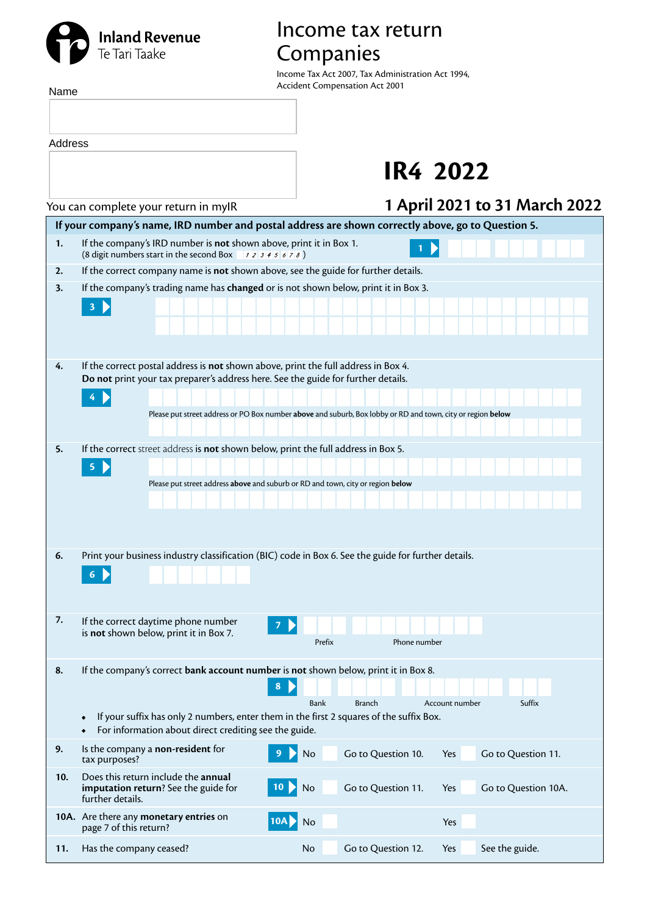## **Inland Revenue**<br>Te Tari Taake

## Income tax return Companies

Income Tax Act 2007, Tax Administration Act 1994, Accident Compensation Act 2001

| Name    | Accident Compensation Act 2001                                                                                                                                             |
|---------|----------------------------------------------------------------------------------------------------------------------------------------------------------------------------|
| Address |                                                                                                                                                                            |
|         | IR4 2022                                                                                                                                                                   |
|         | 1 April 2021 to 31 March 2022<br>You can complete your return in myIR                                                                                                      |
|         | If your company's name, IRD number and postal address are shown correctly above, go to Question 5.                                                                         |
| 1.      | If the company's IRD number is not shown above, print it in Box 1.<br>(8 digit numbers start in the second Box $\rightarrow$ 12345678)                                     |
| 2.      | If the correct company name is not shown above, see the guide for further details.                                                                                         |
| 3.      | If the company's trading name has changed or is not shown below, print it in Box 3.                                                                                        |
|         | 3 <sup>2</sup>                                                                                                                                                             |
|         |                                                                                                                                                                            |
| 4.      | If the correct postal address is not shown above, print the full address in Box 4.                                                                                         |
|         | Do not print your tax preparer's address here. See the guide for further details.                                                                                          |
|         | 4                                                                                                                                                                          |
|         | Please put street address or PO Box number above and suburb, Box lobby or RD and town, city or region below                                                                |
| 5.      | If the correct street address is not shown below, print the full address in Box 5.                                                                                         |
|         | $\blacktriangleright$<br>$\overline{\mathbf{5}}$                                                                                                                           |
|         | Please put street address above and suburb or RD and town, city or region below                                                                                            |
|         |                                                                                                                                                                            |
|         |                                                                                                                                                                            |
| 6.      | Print your business industry classification (BIC) code in Box 6. See the guide for further details.                                                                        |
|         | 6 <sub>1</sub>                                                                                                                                                             |
|         |                                                                                                                                                                            |
| 7.      | If the correct daytime phone number                                                                                                                                        |
|         | is not shown below, print it in Box 7.<br>Prefix<br>Phone number                                                                                                           |
| 8.      | If the company's correct bank account number is not shown below, print it in Box 8.                                                                                        |
|         | 8                                                                                                                                                                          |
|         | <b>Bank</b><br><b>Branch</b><br>Account number<br>Suffix                                                                                                                   |
|         | If your suffix has only 2 numbers, enter them in the first 2 squares of the suffix Box.<br>$\bullet$<br>For information about direct crediting see the guide.<br>$\bullet$ |
| 9.      | Is the company a non-resident for<br>Go to Question 10.<br>No<br>Go to Question 11.<br>Yes<br>tax purposes?                                                                |
| 10.     | Does this return include the annual<br>10 D<br>Go to Question 11.<br>Go to Question 10A.<br>imputation return? See the guide for<br>No<br>Yes<br>further details.          |
|         | 10A. Are there any monetary entries on<br>No<br>Yes<br>10A<br>page 7 of this return?                                                                                       |
|         |                                                                                                                                                                            |

**11.** Has the company ceased? No Go to Question 12. Yes See the guide.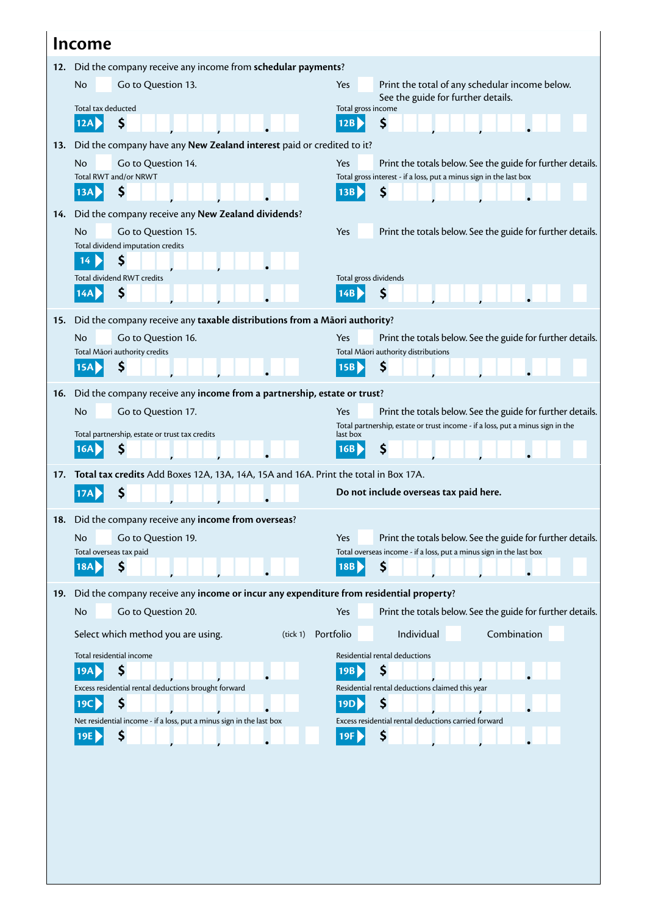|                                                                    | Income                                                                                 |                                                                                                                                                            |  |  |  |  |  |
|--------------------------------------------------------------------|----------------------------------------------------------------------------------------|------------------------------------------------------------------------------------------------------------------------------------------------------------|--|--|--|--|--|
| Did the company receive any income from schedular payments?<br>12. |                                                                                        |                                                                                                                                                            |  |  |  |  |  |
|                                                                    | No<br>Go to Question 13.                                                               | Yes<br>Print the total of any schedular income below.                                                                                                      |  |  |  |  |  |
|                                                                    | Total tax deducted                                                                     | See the guide for further details.<br>Total gross income                                                                                                   |  |  |  |  |  |
|                                                                    | \$<br>12A                                                                              | \$<br>12B                                                                                                                                                  |  |  |  |  |  |
| 13.                                                                | Did the company have any New Zealand interest paid or credited to it?                  |                                                                                                                                                            |  |  |  |  |  |
|                                                                    | No<br>Go to Question 14.                                                               | Yes<br>Print the totals below. See the guide for further details.                                                                                          |  |  |  |  |  |
|                                                                    | Total RWT and/or NRWT                                                                  | Total gross interest - if a loss, put a minus sign in the last box                                                                                         |  |  |  |  |  |
|                                                                    | Ş<br>13A                                                                               | 13B<br>\$                                                                                                                                                  |  |  |  |  |  |
| 14.                                                                | Did the company receive any New Zealand dividends?                                     |                                                                                                                                                            |  |  |  |  |  |
|                                                                    | No<br>Go to Question 15.                                                               | Yes<br>Print the totals below. See the guide for further details.                                                                                          |  |  |  |  |  |
|                                                                    | Total dividend imputation credits<br>\$<br>14                                          |                                                                                                                                                            |  |  |  |  |  |
|                                                                    | <b>Total dividend RWT credits</b>                                                      | Total gross dividends                                                                                                                                      |  |  |  |  |  |
|                                                                    | \$<br>14A                                                                              | \$<br>14B                                                                                                                                                  |  |  |  |  |  |
|                                                                    |                                                                                        |                                                                                                                                                            |  |  |  |  |  |
| 15.                                                                | Did the company receive any taxable distributions from a Māori authority?              |                                                                                                                                                            |  |  |  |  |  |
|                                                                    | No<br>Go to Question 16.<br>Total Māori authority credits                              | Yes<br>Print the totals below. See the guide for further details.<br>Total Māori authority distributions                                                   |  |  |  |  |  |
|                                                                    | Ş<br>15A                                                                               | \$<br> 15B                                                                                                                                                 |  |  |  |  |  |
|                                                                    |                                                                                        |                                                                                                                                                            |  |  |  |  |  |
| 16.                                                                | Did the company receive any income from a partnership, estate or trust?<br>No          |                                                                                                                                                            |  |  |  |  |  |
|                                                                    | Go to Question 17.                                                                     | Print the totals below. See the guide for further details.<br><b>Yes</b><br>Total partnership, estate or trust income - if a loss, put a minus sign in the |  |  |  |  |  |
|                                                                    | Total partnership, estate or trust tax credits                                         | last box                                                                                                                                                   |  |  |  |  |  |
|                                                                    | \$<br>16A                                                                              | \$<br>16B                                                                                                                                                  |  |  |  |  |  |
| 17.                                                                | Total tax credits Add Boxes 12A, 13A, 14A, 15A and 16A. Print the total in Box 17A.    |                                                                                                                                                            |  |  |  |  |  |
|                                                                    |                                                                                        | Do not include overseas tax paid here.                                                                                                                     |  |  |  |  |  |
|                                                                    | 18. Did the company receive any income from overseas?                                  |                                                                                                                                                            |  |  |  |  |  |
|                                                                    | No<br>Go to Question 19.                                                               | Yes<br>Print the totals below. See the guide for further details.                                                                                          |  |  |  |  |  |
|                                                                    | Total overseas tax paid                                                                | Total overseas income - if a loss, put a minus sign in the last box                                                                                        |  |  |  |  |  |
|                                                                    | \$<br>18A                                                                              | \$<br>18B                                                                                                                                                  |  |  |  |  |  |
| 19.                                                                | Did the company receive any income or incur any expenditure from residential property? |                                                                                                                                                            |  |  |  |  |  |
|                                                                    | Go to Question 20.<br><b>No</b>                                                        | Yes<br>Print the totals below. See the guide for further details.                                                                                          |  |  |  |  |  |
|                                                                    | Select which method you are using.<br>(tick 1)                                         | Individual<br>Combination<br>Portfolio                                                                                                                     |  |  |  |  |  |
|                                                                    | Total residential income                                                               | Residential rental deductions                                                                                                                              |  |  |  |  |  |
|                                                                    | \$<br>19A                                                                              | \$<br>19B                                                                                                                                                  |  |  |  |  |  |
|                                                                    | Excess residential rental deductions brought forward                                   | Residential rental deductions claimed this year                                                                                                            |  |  |  |  |  |
|                                                                    | \$<br>19C                                                                              | \$<br>19D<br>Excess residential rental deductions carried forward                                                                                          |  |  |  |  |  |
|                                                                    | Net residential income - if a loss, put a minus sign in the last box<br>\$<br>19E      | \$<br>19F                                                                                                                                                  |  |  |  |  |  |
|                                                                    |                                                                                        |                                                                                                                                                            |  |  |  |  |  |
|                                                                    |                                                                                        |                                                                                                                                                            |  |  |  |  |  |
|                                                                    |                                                                                        |                                                                                                                                                            |  |  |  |  |  |
|                                                                    |                                                                                        |                                                                                                                                                            |  |  |  |  |  |
|                                                                    |                                                                                        |                                                                                                                                                            |  |  |  |  |  |
|                                                                    |                                                                                        |                                                                                                                                                            |  |  |  |  |  |
|                                                                    |                                                                                        |                                                                                                                                                            |  |  |  |  |  |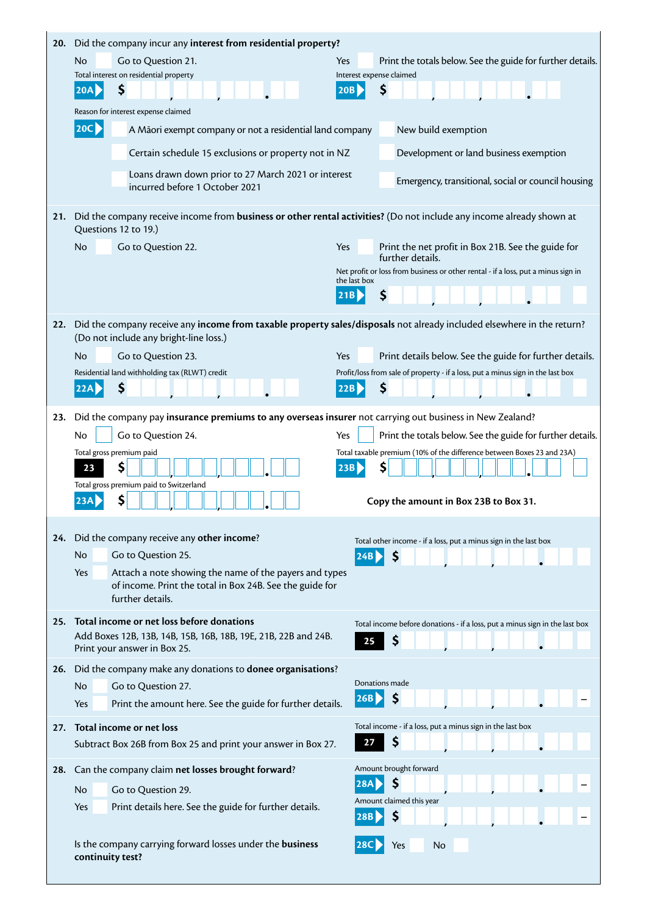| 20. | Did the company incur any interest from residential property?                                                                                                    |                     |                                                                                                       |  |  |  |  |  |  |  |
|-----|------------------------------------------------------------------------------------------------------------------------------------------------------------------|---------------------|-------------------------------------------------------------------------------------------------------|--|--|--|--|--|--|--|
|     | N <sub>o</sub><br>Go to Question 21.<br>Total interest on residential property                                                                                   | Yes                 | Print the totals below. See the guide for further details.<br>Interest expense claimed                |  |  |  |  |  |  |  |
|     | \$<br>20A                                                                                                                                                        | 20B                 | \$                                                                                                    |  |  |  |  |  |  |  |
|     | Reason for interest expense claimed                                                                                                                              |                     |                                                                                                       |  |  |  |  |  |  |  |
|     | $ 20C\rangle$<br>A Māori exempt company or not a residential land company                                                                                        |                     | New build exemption                                                                                   |  |  |  |  |  |  |  |
|     | Certain schedule 15 exclusions or property not in NZ                                                                                                             |                     | Development or land business exemption                                                                |  |  |  |  |  |  |  |
|     | Loans drawn down prior to 27 March 2021 or interest<br>incurred before 1 October 2021                                                                            |                     | Emergency, transitional, social or council housing                                                    |  |  |  |  |  |  |  |
| 21. | Did the company receive income from business or other rental activities? (Do not include any income already shown at<br>Questions 12 to 19.)                     |                     |                                                                                                       |  |  |  |  |  |  |  |
|     | <b>No</b><br>Go to Question 22.                                                                                                                                  | Yes                 | Print the net profit in Box 21B. See the guide for                                                    |  |  |  |  |  |  |  |
|     |                                                                                                                                                                  |                     | further details.<br>Net profit or loss from business or other rental - if a loss, put a minus sign in |  |  |  |  |  |  |  |
|     |                                                                                                                                                                  | the last box<br>21B | \$                                                                                                    |  |  |  |  |  |  |  |
|     |                                                                                                                                                                  |                     |                                                                                                       |  |  |  |  |  |  |  |
| 22. | Did the company receive any income from taxable property sales/disposals not already included elsewhere in the return?<br>(Do not include any bright-line loss.) |                     |                                                                                                       |  |  |  |  |  |  |  |
|     | No.<br>Go to Question 23.                                                                                                                                        | Yes                 | Print details below. See the guide for further details.                                               |  |  |  |  |  |  |  |
|     | Residential land withholding tax (RLWT) credit                                                                                                                   |                     | Profit/loss from sale of property - if a loss, put a minus sign in the last box                       |  |  |  |  |  |  |  |
|     | \$<br>22AI                                                                                                                                                       | 22B                 | \$                                                                                                    |  |  |  |  |  |  |  |
| 23. | Did the company pay insurance premiums to any overseas insurer not carrying out business in New Zealand?                                                         |                     |                                                                                                       |  |  |  |  |  |  |  |
|     | Go to Question 24.<br>No                                                                                                                                         | Yes                 | Print the totals below. See the guide for further details.                                            |  |  |  |  |  |  |  |
|     | Total gross premium paid                                                                                                                                         |                     | Total taxable premium (10% of the difference between Boxes 23 and 23A)                                |  |  |  |  |  |  |  |
|     | \$<br>23<br>Total gross premium paid to Switzerland                                                                                                              | 23B                 | \$                                                                                                    |  |  |  |  |  |  |  |
|     | \$                                                                                                                                                               |                     | Copy the amount in Box 23B to Box 31.                                                                 |  |  |  |  |  |  |  |
|     |                                                                                                                                                                  |                     |                                                                                                       |  |  |  |  |  |  |  |
| 24. | Did the company receive any other income?                                                                                                                        |                     | Total other income - if a loss, put a minus sign in the last box                                      |  |  |  |  |  |  |  |
|     | <b>No</b><br>Go to Question 25.                                                                                                                                  |                     | \$<br>24B                                                                                             |  |  |  |  |  |  |  |
|     | Attach a note showing the name of the payers and types<br><b>Yes</b><br>of income. Print the total in Box 24B. See the guide for                                 |                     |                                                                                                       |  |  |  |  |  |  |  |
|     | further details.                                                                                                                                                 |                     |                                                                                                       |  |  |  |  |  |  |  |
| 25. | Total income or net loss before donations<br>Add Boxes 12B, 13B, 14B, 15B, 16B, 18B, 19E, 21B, 22B and 24B.                                                      |                     | Total income before donations - if a loss, put a minus sign in the last box                           |  |  |  |  |  |  |  |
|     | Print your answer in Box 25.                                                                                                                                     | 25                  | \$                                                                                                    |  |  |  |  |  |  |  |
| 26. | Did the company make any donations to donee organisations?                                                                                                       |                     |                                                                                                       |  |  |  |  |  |  |  |
|     | <b>No</b><br>Go to Question 27.                                                                                                                                  | 26B                 | Donations made<br>\$                                                                                  |  |  |  |  |  |  |  |
|     | Print the amount here. See the guide for further details.<br>Yes                                                                                                 |                     |                                                                                                       |  |  |  |  |  |  |  |
| 27. | Total income or net loss<br>Subtract Box 26B from Box 25 and print your answer in Box 27.                                                                        | 27                  | Total income - if a loss, put a minus sign in the last box<br>\$                                      |  |  |  |  |  |  |  |
|     |                                                                                                                                                                  |                     |                                                                                                       |  |  |  |  |  |  |  |
| 28. | Can the company claim net losses brought forward?                                                                                                                | 28A                 | Amount brought forward<br>\$                                                                          |  |  |  |  |  |  |  |
|     | <b>No</b><br>Go to Question 29.                                                                                                                                  |                     | Amount claimed this year                                                                              |  |  |  |  |  |  |  |
|     | Print details here. See the guide for further details.<br>Yes                                                                                                    | 28B                 | \$                                                                                                    |  |  |  |  |  |  |  |
|     | Is the company carrying forward losses under the business<br>continuity test?                                                                                    |                     | No<br>Yes                                                                                             |  |  |  |  |  |  |  |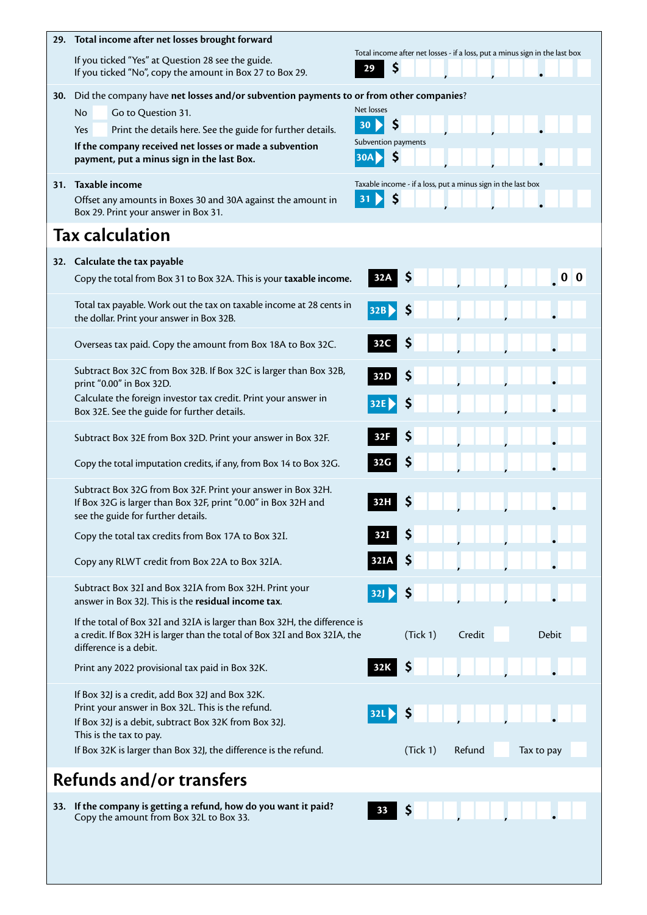| 29. | Total income after net losses brought forward                                                                                                                                                                                                                                                           | Total income after net losses - if a loss, put a minus sign in the last box |
|-----|---------------------------------------------------------------------------------------------------------------------------------------------------------------------------------------------------------------------------------------------------------------------------------------------------------|-----------------------------------------------------------------------------|
|     | If you ticked "Yes" at Question 28 see the guide.<br>If you ticked "No", copy the amount in Box 27 to Box 29.                                                                                                                                                                                           | \$<br>29                                                                    |
| 30. | Did the company have net losses and/or subvention payments to or from other companies?<br><b>No</b><br>Go to Question 31.<br>Print the details here. See the guide for further details.<br>Yes<br>If the company received net losses or made a subvention<br>payment, put a minus sign in the last Box. | Net losses<br>\$<br>30<br>Subvention payments<br>\$<br>30A                  |
|     | 31. Taxable income<br>Offset any amounts in Boxes 30 and 30A against the amount in<br>Box 29. Print your answer in Box 31.                                                                                                                                                                              | Taxable income - if a loss, put a minus sign in the last box<br>\$<br>31    |
|     | <b>Tax calculation</b>                                                                                                                                                                                                                                                                                  |                                                                             |
|     | 32. Calculate the tax payable<br>Copy the total from Box 31 to Box 32A. This is your taxable income.                                                                                                                                                                                                    | 0 <sub>0</sub><br>Ş<br>32A                                                  |
|     | Total tax payable. Work out the tax on taxable income at 28 cents in<br>the dollar. Print your answer in Box 32B.                                                                                                                                                                                       | 32B                                                                         |
|     | Overseas tax paid. Copy the amount from Box 18A to Box 32C.                                                                                                                                                                                                                                             | 5<br>32C                                                                    |
|     | Subtract Box 32C from Box 32B. If Box 32C is larger than Box 32B,<br>print "0.00" in Box 32D.<br>Calculate the foreign investor tax credit. Print your answer in<br>Box 32E. See the guide for further details.                                                                                         | Ş<br>32D<br>32E                                                             |
|     | Subtract Box 32E from Box 32D. Print your answer in Box 32F.<br>Copy the total imputation credits, if any, from Box 14 to Box 32G.                                                                                                                                                                      | Ş<br>32F<br>Ş<br>32G                                                        |
|     | Subtract Box 32G from Box 32F. Print your answer in Box 32H.<br>If Box 32G is larger than Box 32F, print "0.00" in Box 32H and<br>see the guide for further details.                                                                                                                                    |                                                                             |
|     | Copy the total tax credits from Box 17A to Box 32I.                                                                                                                                                                                                                                                     |                                                                             |
|     | Copy any RLWT credit from Box 22A to Box 32IA.                                                                                                                                                                                                                                                          | 32IA                                                                        |
|     | Subtract Box 32I and Box 32IA from Box 32H. Print your<br>answer in Box 32J. This is the residual income tax.                                                                                                                                                                                           | 32 <sub>1</sub>                                                             |
|     | If the total of Box 32I and 32IA is larger than Box 32H, the difference is<br>a credit. If Box 32H is larger than the total of Box 32I and Box 32IA, the<br>difference is a debit.                                                                                                                      | (Tick 1)<br>Credit<br><b>Debit</b>                                          |
|     | Print any 2022 provisional tax paid in Box 32K.                                                                                                                                                                                                                                                         | 32K                                                                         |
|     | If Box 32J is a credit, add Box 32J and Box 32K.<br>Print your answer in Box 32L. This is the refund.<br>If Box 32J is a debit, subtract Box 32K from Box 32J.<br>This is the tax to pay.<br>If Box 32K is larger than Box 32J, the difference is the refund.                                           | 32L)<br>(Tick 1)<br>Refund<br>Tax to pay                                    |
|     | <b>Refunds and/or transfers</b>                                                                                                                                                                                                                                                                         |                                                                             |
|     | 33. If the company is getting a refund, how do you want it paid?<br>Copy the amount from Box 32L to Box 33.                                                                                                                                                                                             | Ş<br>33                                                                     |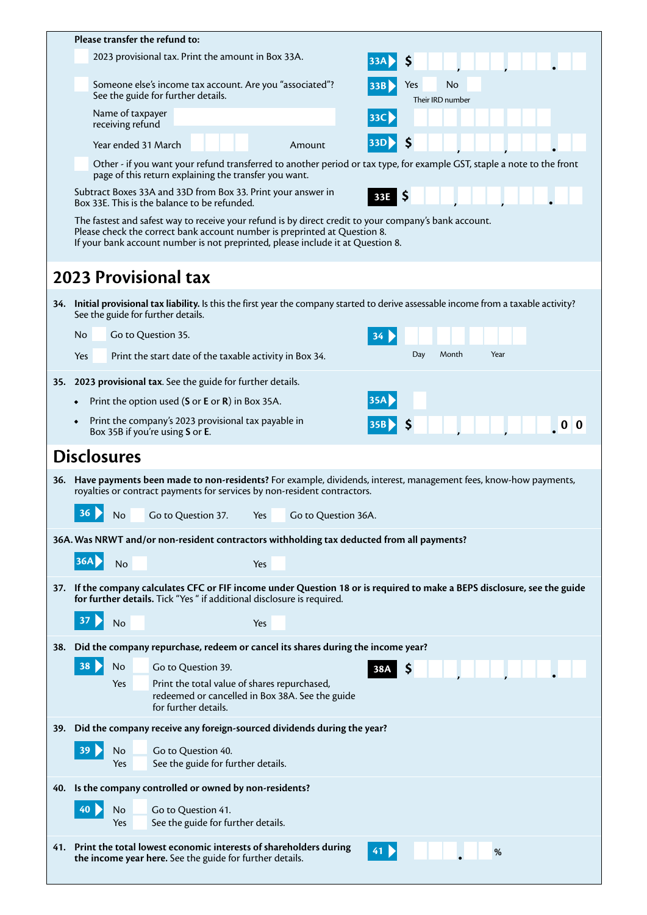|     | Please transfer the refund to:                                                                                                                                                                                                                                        |  |  |  |  |  |  |  |  |
|-----|-----------------------------------------------------------------------------------------------------------------------------------------------------------------------------------------------------------------------------------------------------------------------|--|--|--|--|--|--|--|--|
|     | 2023 provisional tax. Print the amount in Box 33A.                                                                                                                                                                                                                    |  |  |  |  |  |  |  |  |
|     | S                                                                                                                                                                                                                                                                     |  |  |  |  |  |  |  |  |
|     | Someone else's income tax account. Are you "associated"?<br>No<br>Yes<br>33B<br>See the guide for further details.<br>Their IRD number                                                                                                                                |  |  |  |  |  |  |  |  |
|     | Name of taxpayer<br> 33C <br>receiving refund                                                                                                                                                                                                                         |  |  |  |  |  |  |  |  |
|     | Year ended 31 March<br>Amount                                                                                                                                                                                                                                         |  |  |  |  |  |  |  |  |
|     | Other - if you want your refund transferred to another period or tax type, for example GST, staple a note to the front<br>page of this return explaining the transfer you want.                                                                                       |  |  |  |  |  |  |  |  |
|     | Subtract Boxes 33A and 33D from Box 33. Print your answer in<br>33E <b>S</b><br>Box 33E. This is the balance to be refunded.                                                                                                                                          |  |  |  |  |  |  |  |  |
|     | The fastest and safest way to receive your refund is by direct credit to your company's bank account.<br>Please check the correct bank account number is preprinted at Question 8.<br>If your bank account number is not preprinted, please include it at Question 8. |  |  |  |  |  |  |  |  |
|     | <b>2023 Provisional tax</b>                                                                                                                                                                                                                                           |  |  |  |  |  |  |  |  |
|     | 34. Initial provisional tax liability. Is this the first year the company started to derive assessable income from a taxable activity?<br>See the guide for further details.                                                                                          |  |  |  |  |  |  |  |  |
|     | Go to Question 35.<br>No                                                                                                                                                                                                                                              |  |  |  |  |  |  |  |  |
|     | Month<br>Year<br>Day<br>Yes<br>Print the start date of the taxable activity in Box 34.                                                                                                                                                                                |  |  |  |  |  |  |  |  |
|     | 35. 2023 provisional tax. See the guide for further details.                                                                                                                                                                                                          |  |  |  |  |  |  |  |  |
|     | Print the option used (S or E or R) in Box 35A.                                                                                                                                                                                                                       |  |  |  |  |  |  |  |  |
|     | Print the company's 2023 provisional tax payable in<br>0 <sub>0</sub><br> 35B <br>Box 35B if you're using S or E.                                                                                                                                                     |  |  |  |  |  |  |  |  |
|     | <b>Disclosures</b>                                                                                                                                                                                                                                                    |  |  |  |  |  |  |  |  |
|     |                                                                                                                                                                                                                                                                       |  |  |  |  |  |  |  |  |
|     | 36. Have payments been made to non-residents? For example, dividends, interest, management fees, know-how payments,<br>royalties or contract payments for services by non-resident contractors.                                                                       |  |  |  |  |  |  |  |  |
|     | 36 ><br>No Go to Question 37. Yes Go to Question 36A.                                                                                                                                                                                                                 |  |  |  |  |  |  |  |  |
|     | 36A. Was NRWT and/or non-resident contractors withholding tax deducted from all payments?                                                                                                                                                                             |  |  |  |  |  |  |  |  |
|     | 36A<br>No<br>Yes                                                                                                                                                                                                                                                      |  |  |  |  |  |  |  |  |
|     | 37. If the company calculates CFC or FIF income under Question 18 or is required to make a BEPS disclosure, see the guide<br>for further details. Tick "Yes " if additional disclosure is required.                                                                   |  |  |  |  |  |  |  |  |
|     | No<br>Yes                                                                                                                                                                                                                                                             |  |  |  |  |  |  |  |  |
|     |                                                                                                                                                                                                                                                                       |  |  |  |  |  |  |  |  |
| 38. | Did the company repurchase, redeem or cancel its shares during the income year?                                                                                                                                                                                       |  |  |  |  |  |  |  |  |
|     | 38<br>No<br>Go to Question 39.<br>\$<br>38A                                                                                                                                                                                                                           |  |  |  |  |  |  |  |  |
|     | Print the total value of shares repurchased,<br>Yes<br>redeemed or cancelled in Box 38A. See the guide<br>for further details.                                                                                                                                        |  |  |  |  |  |  |  |  |
|     | 39. Did the company receive any foreign-sourced dividends during the year?                                                                                                                                                                                            |  |  |  |  |  |  |  |  |
|     | Go to Question 40.<br>39<br>No<br>Yes<br>See the guide for further details.                                                                                                                                                                                           |  |  |  |  |  |  |  |  |
|     | 40. Is the company controlled or owned by non-residents?                                                                                                                                                                                                              |  |  |  |  |  |  |  |  |
|     |                                                                                                                                                                                                                                                                       |  |  |  |  |  |  |  |  |
|     | 40<br>No<br>Go to Question 41.<br>See the guide for further details.<br>Yes                                                                                                                                                                                           |  |  |  |  |  |  |  |  |
|     |                                                                                                                                                                                                                                                                       |  |  |  |  |  |  |  |  |
|     | 41. Print the total lowest economic interests of shareholders during<br>41 D<br>%<br>the income year here. See the guide for further details.                                                                                                                         |  |  |  |  |  |  |  |  |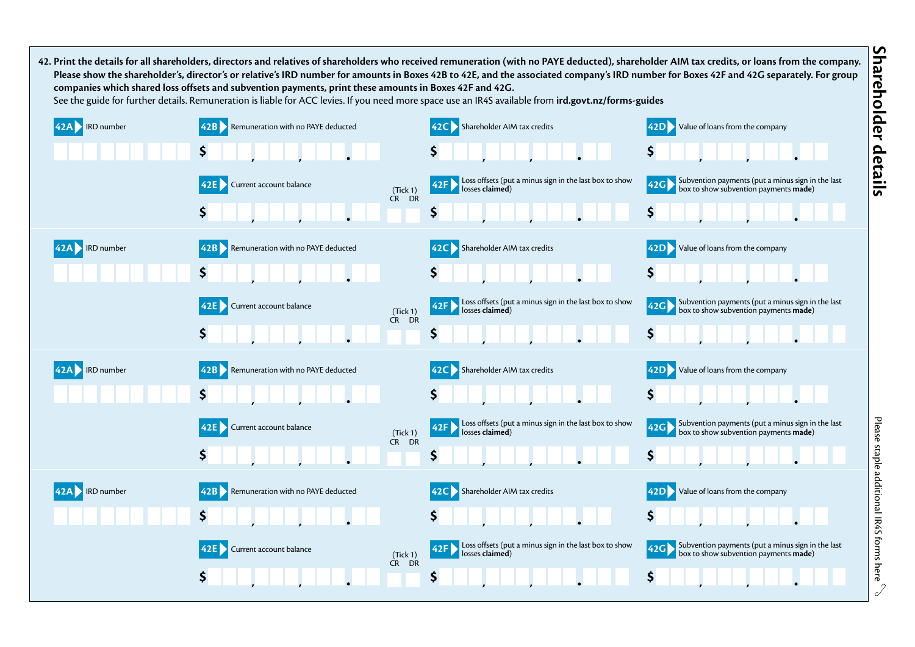